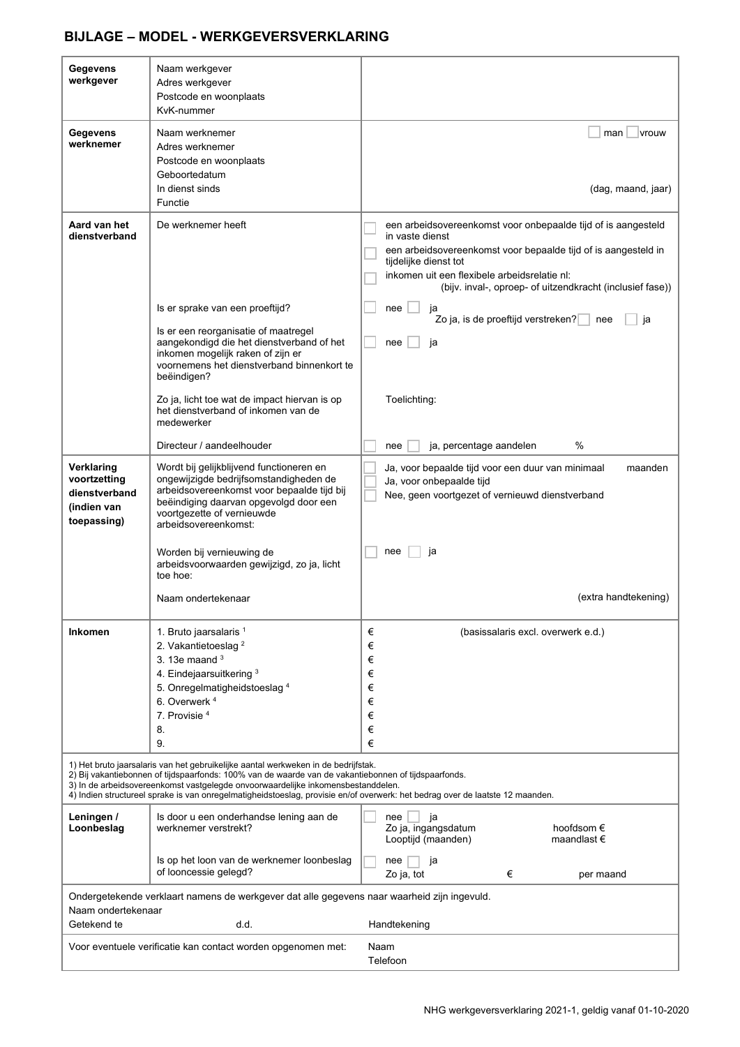| <b>Gegevens</b><br>werkgever                                                                                                                                                                                                                                                                                                                                                                                    | Naam werkgever<br>Adres werkgever<br>Postcode en woonplaats<br>KvK-nummer                                                                                                                                                        |                                                                                                                                                                                                                                                                                          |
|-----------------------------------------------------------------------------------------------------------------------------------------------------------------------------------------------------------------------------------------------------------------------------------------------------------------------------------------------------------------------------------------------------------------|----------------------------------------------------------------------------------------------------------------------------------------------------------------------------------------------------------------------------------|------------------------------------------------------------------------------------------------------------------------------------------------------------------------------------------------------------------------------------------------------------------------------------------|
| Gegevens<br>werknemer                                                                                                                                                                                                                                                                                                                                                                                           | Naam werknemer<br>Adres werknemer<br>Postcode en woonplaats<br>Geboortedatum<br>In dienst sinds<br>Functie                                                                                                                       | vrouw<br>man<br>(dag, maand, jaar)                                                                                                                                                                                                                                                       |
| Aard van het<br>dienstverband                                                                                                                                                                                                                                                                                                                                                                                   | De werknemer heeft                                                                                                                                                                                                               | een arbeidsovereenkomst voor onbepaalde tijd of is aangesteld<br>in vaste dienst<br>een arbeidsovereenkomst voor bepaalde tijd of is aangesteld in<br>tijdelijke dienst tot<br>inkomen uit een flexibele arbeidsrelatie nl:<br>(bijv. inval-, oproep- of uitzendkracht (inclusief fase)) |
|                                                                                                                                                                                                                                                                                                                                                                                                                 | Is er sprake van een proeftijd?                                                                                                                                                                                                  | nee<br>ja<br>Zo ja, is de proeftijd verstreken?<br>nee<br>ja                                                                                                                                                                                                                             |
|                                                                                                                                                                                                                                                                                                                                                                                                                 | Is er een reorganisatie of maatregel<br>aangekondigd die het dienstverband of het<br>inkomen mogelijk raken of zijn er<br>voornemens het dienstverband binnenkort te<br>beëindigen?                                              | ja<br>nee                                                                                                                                                                                                                                                                                |
|                                                                                                                                                                                                                                                                                                                                                                                                                 | Zo ja, licht toe wat de impact hiervan is op<br>het dienstverband of inkomen van de<br>medewerker                                                                                                                                | Toelichting:                                                                                                                                                                                                                                                                             |
|                                                                                                                                                                                                                                                                                                                                                                                                                 | Directeur / aandeelhouder                                                                                                                                                                                                        | $\%$<br>ja, percentage aandelen<br>nee                                                                                                                                                                                                                                                   |
| Verklaring<br>voortzetting<br>dienstverband<br>(indien van<br>toepassing)                                                                                                                                                                                                                                                                                                                                       | Wordt bij gelijkblijvend functioneren en<br>ongewijzigde bedrijfsomstandigheden de<br>arbeidsovereenkomst voor bepaalde tijd bij<br>beëindiging daarvan opgevolgd door een<br>voortgezette of vernieuwde<br>arbeidsovereenkomst: | Ja, voor bepaalde tijd voor een duur van minimaal<br>maanden<br>Ja, voor onbepaalde tijd<br>Nee, geen voortgezet of vernieuwd dienstverband                                                                                                                                              |
|                                                                                                                                                                                                                                                                                                                                                                                                                 | Worden bij vernieuwing de<br>arbeidsvoorwaarden gewijzigd, zo ja, licht<br>toe hoe:                                                                                                                                              | nee<br>ja                                                                                                                                                                                                                                                                                |
|                                                                                                                                                                                                                                                                                                                                                                                                                 | Naam ondertekenaar                                                                                                                                                                                                               | (extra handtekening)                                                                                                                                                                                                                                                                     |
| <b>Inkomen</b>                                                                                                                                                                                                                                                                                                                                                                                                  | 1. Bruto jaarsalaris 1<br>2. Vakantietoeslag <sup>2</sup><br>3. 13e maand $3$<br>4. Eindejaarsuitkering 3<br>5. Onregelmatigheidstoeslag <sup>4</sup><br>6. Overwerk <sup>4</sup><br>7. Provisie <sup>4</sup><br>8.<br>9.        | €<br>(basissalaris excl. overwerk e.d.)<br>€<br>€<br>€<br>€<br>€<br>€<br>€<br>€                                                                                                                                                                                                          |
| 1) Het bruto jaarsalaris van het gebruikelijke aantal werkweken in de bedrijfstak.<br>2) Bij vakantiebonnen of tijdspaarfonds: 100% van de waarde van de vakantiebonnen of tijdspaarfonds.<br>3) In de arbeidsovereenkomst vastgelegde onvoorwaardelijke inkomensbestanddelen.<br>4) Indien structureel sprake is van onregelmatigheidstoeslag, provisie en/of overwerk: het bedrag over de laatste 12 maanden. |                                                                                                                                                                                                                                  |                                                                                                                                                                                                                                                                                          |
| Leningen /<br>Loonbeslag                                                                                                                                                                                                                                                                                                                                                                                        | Is door u een onderhandse lening aan de<br>werknemer verstrekt?                                                                                                                                                                  | ja<br>nee<br>Zo ja, ingangsdatum<br>hoofdsom $\epsilon$<br>Looptijd (maanden)<br>maandlast $\epsilon$                                                                                                                                                                                    |
|                                                                                                                                                                                                                                                                                                                                                                                                                 | Is op het loon van de werknemer loonbeslag<br>of looncessie gelegd?                                                                                                                                                              | nee<br>ja<br>Zo ja, tot<br>€<br>per maand                                                                                                                                                                                                                                                |
| Ondergetekende verklaart namens de werkgever dat alle gegevens naar waarheid zijn ingevuld.<br>Naam ondertekenaar                                                                                                                                                                                                                                                                                               |                                                                                                                                                                                                                                  |                                                                                                                                                                                                                                                                                          |
| Getekend te                                                                                                                                                                                                                                                                                                                                                                                                     | d.d.                                                                                                                                                                                                                             | Handtekening                                                                                                                                                                                                                                                                             |
| Voor eventuele verificatie kan contact worden opgenomen met:<br>Naam<br>Telefoon                                                                                                                                                                                                                                                                                                                                |                                                                                                                                                                                                                                  |                                                                                                                                                                                                                                                                                          |

# **BIJLAGE – MODEL - WERKGEVERSVERKLARING**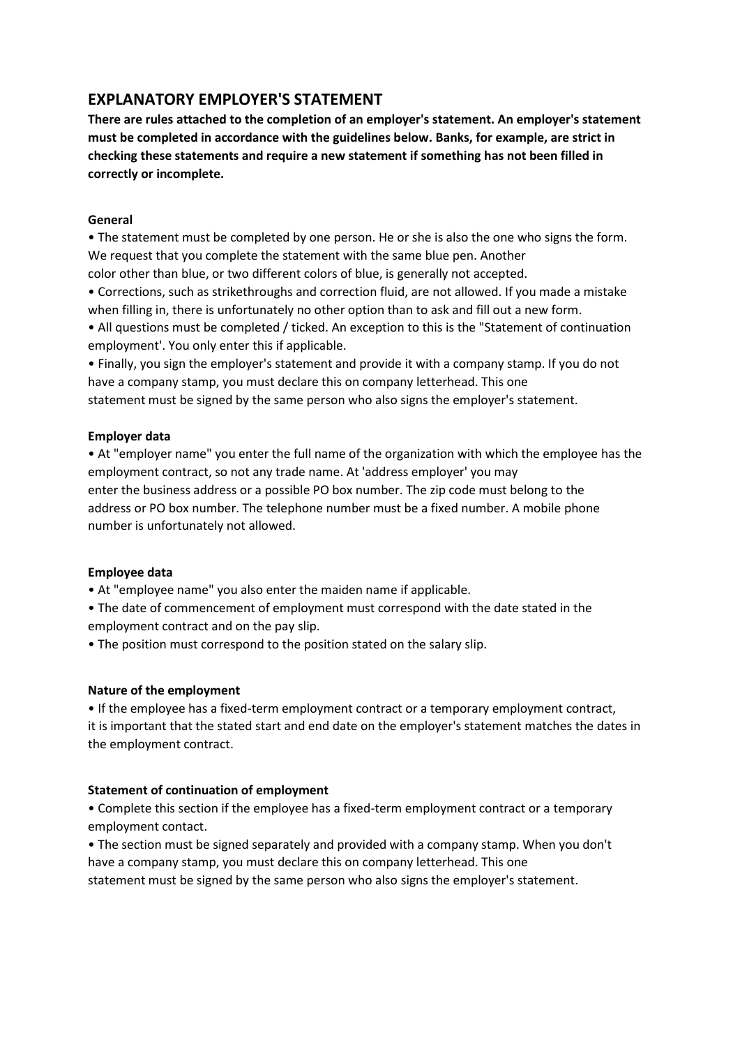# **EXPLANATORY EMPLOYER'S STATEMENT**

**There are rules attached to the completion of an employer's statement. An employer's statement must be completed in accordance with the guidelines below. Banks, for example, are strict in checking these statements and require a new statement if something has not been filled in correctly or incomplete.**

### **General**

• The statement must be completed by one person. He or she is also the one who signs the form. We request that you complete the statement with the same blue pen. Another

color other than blue, or two different colors of blue, is generally not accepted.

• Corrections, such as strikethroughs and correction fluid, are not allowed. If you made a mistake when filling in, there is unfortunately no other option than to ask and fill out a new form.

• All questions must be completed / ticked. An exception to this is the "Statement of continuation employment'. You only enter this if applicable.

• Finally, you sign the employer's statement and provide it with a company stamp. If you do not have a company stamp, you must declare this on company letterhead. This one statement must be signed by the same person who also signs the employer's statement.

### **Employer data**

• At "employer name" you enter the full name of the organization with which the employee has the employment contract, so not any trade name. At 'address employer' you may enter the business address or a possible PO box number. The zip code must belong to the address or PO box number. The telephone number must be a fixed number. A mobile phone number is unfortunately not allowed.

## **Employee data**

• At "employee name" you also enter the maiden name if applicable.

• The date of commencement of employment must correspond with the date stated in the employment contract and on the pay slip.

• The position must correspond to the position stated on the salary slip.

#### **Nature of the employment**

• If the employee has a fixed-term employment contract or a temporary employment contract, it is important that the stated start and end date on the employer's statement matches the dates in the employment contract.

## **Statement of continuation of employment**

• Complete this section if the employee has a fixed-term employment contract or a temporary employment contact.

• The section must be signed separately and provided with a company stamp. When you don't have a company stamp, you must declare this on company letterhead. This one statement must be signed by the same person who also signs the employer's statement.